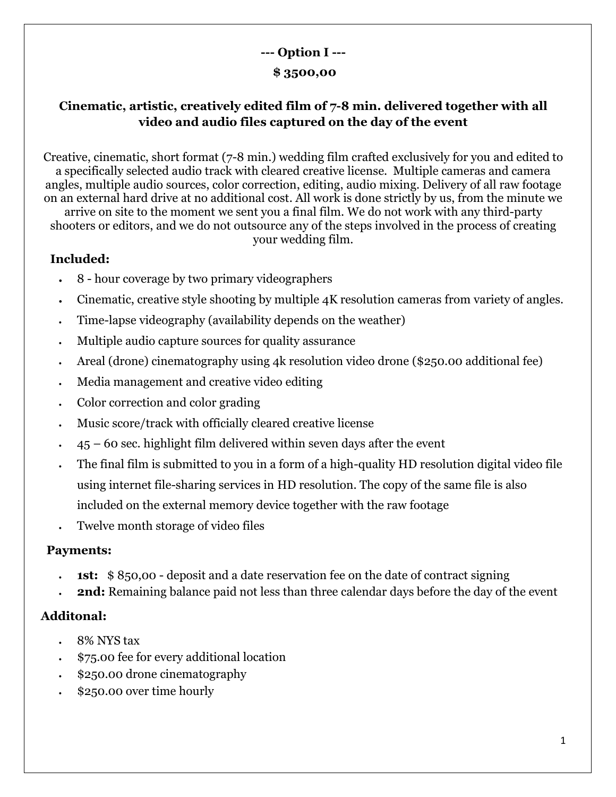# **--- Option I ---**

### **\$ 3500,00**

## **Cinematic, artistic, creatively edited film of 7-8 min. delivered together with all video and audio files captured on the day of the event**

Creative, cinematic, short format (7-8 min.) wedding film crafted exclusively for you and edited to a specifically selected audio track with cleared creative license. Multiple cameras and camera angles, multiple audio sources, color correction, editing, audio mixing. Delivery of all raw footage on an external hard drive at no additional cost. All work is done strictly by us, from the minute we arrive on site to the moment we sent you a final film. We do not work with any third-party

shooters or editors, and we do not outsource any of the steps involved in the process of creating your wedding film.

## **Included:**

- 8 hour coverage by two primary videographers
- Cinematic, creative style shooting by multiple 4K resolution cameras from variety of angles.
- Time-lapse videography (availability depends on the weather)
- Multiple audio capture sources for quality assurance
- Areal (drone) cinematography using 4k resolution video drone (\$250.00 additional fee)
- Media management and creative video editing
- Color correction and color grading
- Music score/track with officially cleared creative license
- $45 60$  sec. highlight film delivered within seven days after the event
- The final film is submitted to you in a form of a high-quality HD resolution digital video file using internet file-sharing services in HD resolution. The copy of the same file is also included on the external memory device together with the raw footage
- Twelve month storage of video files

### **Payments:**

- **1st:** \$850,00 deposit and a date reservation fee on the date of contract signing
- **2nd:** Remaining balance paid not less than three calendar days before the day of the event

### **Additonal:**

- 8% NYS tax
- \$75.00 fee for every additional location
- \$250.00 drone cinematography
- \$250.00 over time hourly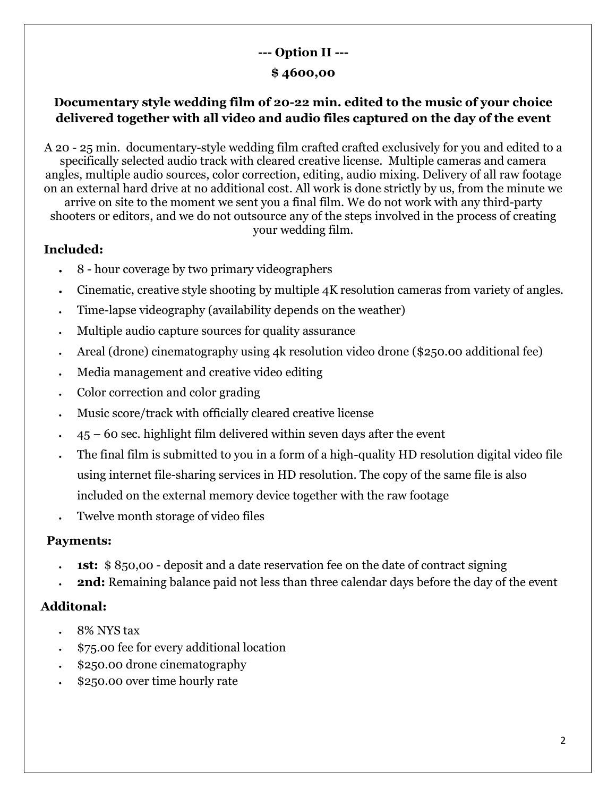# **--- Option II ---**

### **\$ 4600,00**

## **Documentary style wedding film of 20-22 min. edited to the music of your choice delivered together with all video and audio files captured on the day of the event**

A 20 - 25 min. documentary-style wedding film crafted crafted exclusively for you and edited to a specifically selected audio track with cleared creative license. Multiple cameras and camera angles, multiple audio sources, color correction, editing, audio mixing. Delivery of all raw footage on an external hard drive at no additional cost. All work is done strictly by us, from the minute we arrive on site to the moment we sent you a final film. We do not work with any third-party

shooters or editors, and we do not outsource any of the steps involved in the process of creating your wedding film.

# **Included:**

- 8 hour coverage by two primary videographers
- Cinematic, creative style shooting by multiple 4K resolution cameras from variety of angles.
- Time-lapse videography (availability depends on the weather)
- Multiple audio capture sources for quality assurance
- Areal (drone) cinematography using 4k resolution video drone (\$250.00 additional fee)
- Media management and creative video editing
- Color correction and color grading
- Music score/track with officially cleared creative license
- $45 60$  sec. highlight film delivered within seven days after the event
- The final film is submitted to you in a form of a high-quality HD resolution digital video file using internet file-sharing services in HD resolution. The copy of the same file is also included on the external memory device together with the raw footage
- Twelve month storage of video files

### **Payments:**

- **1st:** \$850,00 deposit and a date reservation fee on the date of contract signing
- **2nd:** Remaining balance paid not less than three calendar days before the day of the event

# **Additonal:**

- 8% NYS tax
- \$75.00 fee for every additional location
- \$250.00 drone cinematography
- \$250.00 over time hourly rate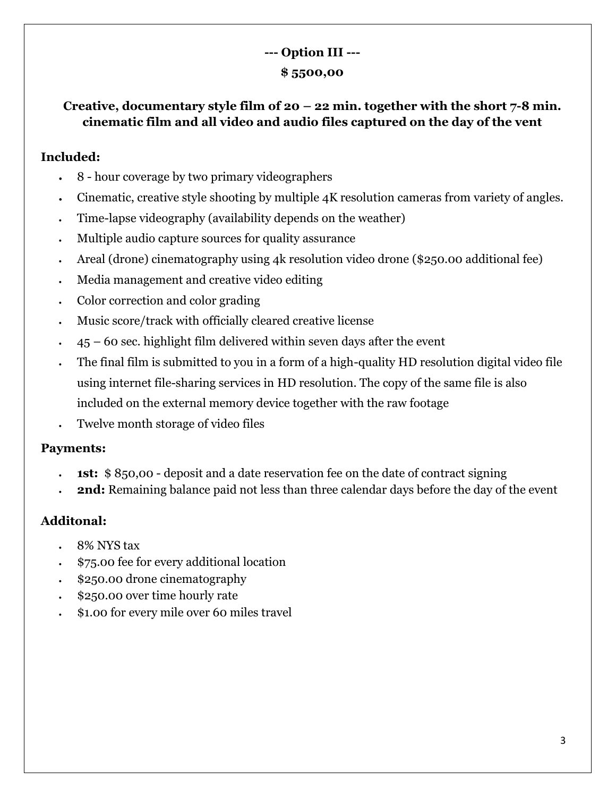# **--- Option III --- \$ 5500,00**

**Creative, documentary style film of 20 – 22 min. together with the short 7-8 min. cinematic film and all video and audio files captured on the day of the vent** 

#### **Included:**

- 8 hour coverage by two primary videographers
- Cinematic, creative style shooting by multiple 4K resolution cameras from variety of angles.
- Time-lapse videography (availability depends on the weather)
- Multiple audio capture sources for quality assurance
- Areal (drone) cinematography using 4k resolution video drone (\$250.00 additional fee)
- Media management and creative video editing
- Color correction and color grading
- Music score/track with officially cleared creative license
- $45 60$  sec. highlight film delivered within seven days after the event
- The final film is submitted to you in a form of a high-quality HD resolution digital video file using internet file-sharing services in HD resolution. The copy of the same file is also included on the external memory device together with the raw footage
- Twelve month storage of video files

#### **Payments:**

- **1st:** \$ 850,00 deposit and a date reservation fee on the date of contract signing
- **2nd:** Remaining balance paid not less than three calendar days before the day of the event

#### **Additonal:**

- 8% NYS tax
- \$75.00 fee for every additional location
- \$250.00 drone cinematography
- \$250.00 over time hourly rate
- \$1.00 for every mile over 60 miles travel